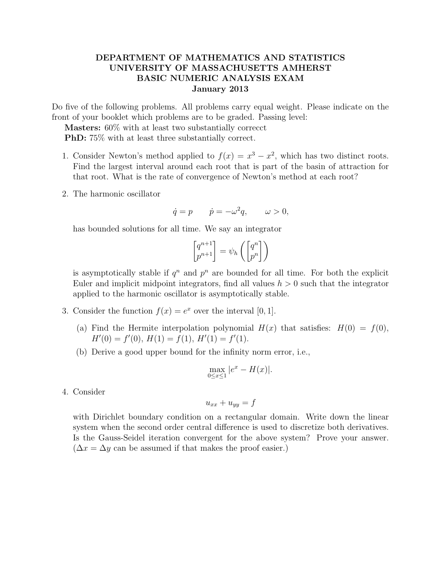## DEPARTMENT OF MATHEMATICS AND STATISTICS UNIVERSITY OF MASSACHUSETTS AMHERST BASIC NUMERIC ANALYSIS EXAM January 2013

Do five of the following problems. All problems carry equal weight. Please indicate on the front of your booklet which problems are to be graded. Passing level:

Masters: 60% with at least two substantially correcct PhD: 75% with at least three substantially correct.

- 1. Consider Newton's method applied to  $f(x) = x^3 x^2$ , which has two distinct roots. Find the largest interval around each root that is part of the basin of attraction for that root. What is the rate of convergence of Newton's method at each root?
- 2. The harmonic oscillator

$$
\dot{q} = p \qquad \dot{p} = -\omega^2 q, \qquad \omega > 0,
$$

has bounded solutions for all time. We say an integrator

$$
\begin{bmatrix} q^{n+1} \\ p^{n+1} \end{bmatrix} = \psi_h \left( \begin{bmatrix} q^n \\ p^n \end{bmatrix} \right)
$$

is asymptotically stable if  $q^n$  and  $p^n$  are bounded for all time. For both the explicit Euler and implicit midpoint integrators, find all values  $h > 0$  such that the integrator applied to the harmonic oscillator is asymptotically stable.

- 3. Consider the function  $f(x) = e^x$  over the interval [0, 1].
	- (a) Find the Hermite interpolation polynomial  $H(x)$  that satisfies:  $H(0) = f(0)$ ,  $H'(0) = f'(0), H(1) = f(1), H'(1) = f'(1).$
	- (b) Derive a good upper bound for the infinity norm error, i.e.,

$$
\max_{0 \le x \le 1} |e^x - H(x)|.
$$

4. Consider

$$
u_{xx} + u_{yy} = f
$$

with Dirichlet boundary condition on a rectangular domain. Write down the linear system when the second order central difference is used to discretize both derivatives. Is the Gauss-Seidel iteration convergent for the above system? Prove your answer.  $(\Delta x = \Delta y)$  can be assumed if that makes the proof easier.)